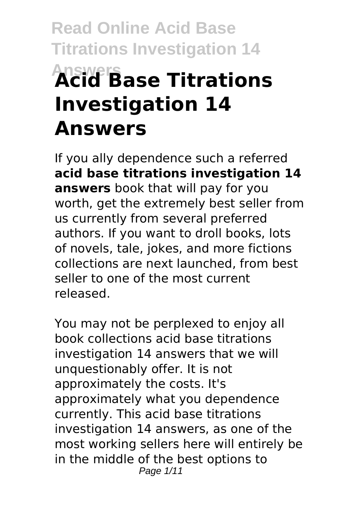# **Read Online Acid Base Titrations Investigation 14 Answers Acid Base Titrations Investigation 14 Answers**

If you ally dependence such a referred **acid base titrations investigation 14 answers** book that will pay for you worth, get the extremely best seller from us currently from several preferred authors. If you want to droll books, lots of novels, tale, jokes, and more fictions collections are next launched, from best seller to one of the most current released.

You may not be perplexed to enjoy all book collections acid base titrations investigation 14 answers that we will unquestionably offer. It is not approximately the costs. It's approximately what you dependence currently. This acid base titrations investigation 14 answers, as one of the most working sellers here will entirely be in the middle of the best options to Page 1/11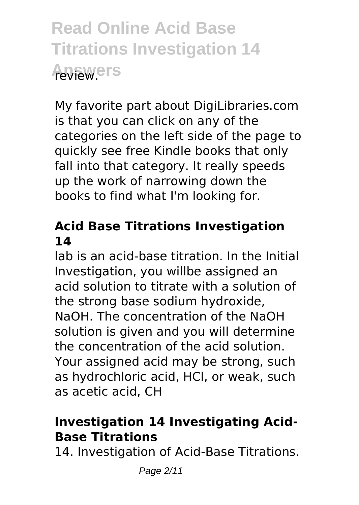**Read Online Acid Base Titrations Investigation 14 Answers** review.

My favorite part about DigiLibraries.com is that you can click on any of the categories on the left side of the page to quickly see free Kindle books that only fall into that category. It really speeds up the work of narrowing down the books to find what I'm looking for.

## **Acid Base Titrations Investigation 14**

lab is an acid-base titration. In the Initial Investigation, you willbe assigned an acid solution to titrate with a solution of the strong base sodium hydroxide, NaOH. The concentration of the NaOH solution is given and you will determine the concentration of the acid solution. Your assigned acid may be strong, such as hydrochloric acid, HCl, or weak, such as acetic acid, CH

## **Investigation 14 Investigating Acid-Base Titrations**

14. Investigation of Acid-Base Titrations.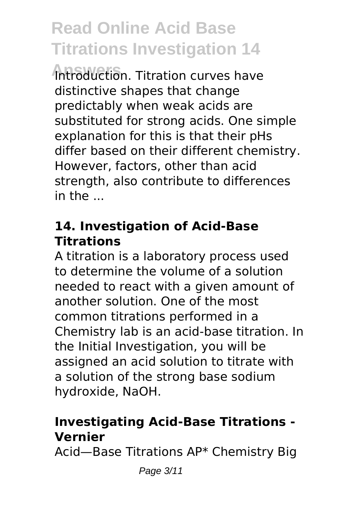**Answers** Introduction. Titration curves have distinctive shapes that change predictably when weak acids are substituted for strong acids. One simple explanation for this is that their pHs differ based on their different chemistry. However, factors, other than acid strength, also contribute to differences in the ...

### **14. Investigation of Acid-Base Titrations**

A titration is a laboratory process used to determine the volume of a solution needed to react with a given amount of another solution. One of the most common titrations performed in a Chemistry lab is an acid-base titration. In the Initial Investigation, you will be assigned an acid solution to titrate with a solution of the strong base sodium hydroxide, NaOH.

### **Investigating Acid-Base Titrations - Vernier**

Acid—Base Titrations AP\* Chemistry Big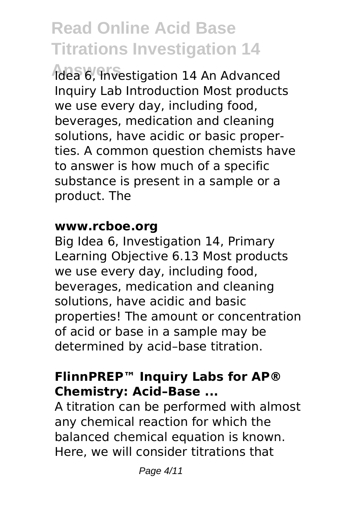**Answers** Idea 6, Investigation 14 An Advanced Inquiry Lab Introduction Most products we use every day, including food, beverages, medication and cleaning solutions, have acidic or basic properties. A common question chemists have to answer is how much of a specific substance is present in a sample or a product. The

#### **www.rcboe.org**

Big Idea 6, Investigation 14, Primary Learning Objective 6.13 Most products we use every day, including food, beverages, medication and cleaning solutions, have acidic and basic properties! The amount or concentration of acid or base in a sample may be determined by acid–base titration.

## **FlinnPREP™ Inquiry Labs for AP® Chemistry: Acid–Base ...**

A titration can be performed with almost any chemical reaction for which the balanced chemical equation is known. Here, we will consider titrations that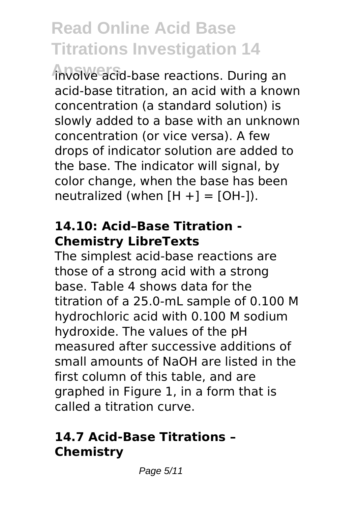**Answers** involve acid-base reactions. During an acid-base titration, an acid with a known concentration (a standard solution) is slowly added to a base with an unknown concentration (or vice versa). A few drops of indicator solution are added to the base. The indicator will signal, by color change, when the base has been neutralized (when  $[H +] = [OH-])$ .

#### **14.10: Acid–Base Titration - Chemistry LibreTexts**

The simplest acid-base reactions are those of a strong acid with a strong base. Table 4 shows data for the titration of a 25.0-mL sample of 0.100 M hydrochloric acid with 0.100 M sodium hydroxide. The values of the pH measured after successive additions of small amounts of NaOH are listed in the first column of this table, and are graphed in Figure 1, in a form that is called a titration curve.

### **14.7 Acid-Base Titrations – Chemistry**

Page 5/11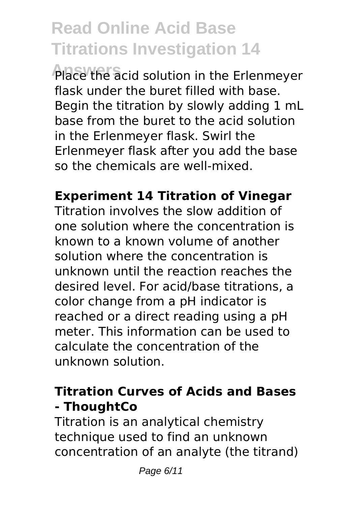Place the acid solution in the Erlenmeyer flask under the buret filled with base. Begin the titration by slowly adding 1 mL base from the buret to the acid solution in the Erlenmeyer flask. Swirl the Erlenmeyer flask after you add the base so the chemicals are well-mixed.

## **Experiment 14 Titration of Vinegar**

Titration involves the slow addition of one solution where the concentration is known to a known volume of another solution where the concentration is unknown until the reaction reaches the desired level. For acid/base titrations, a color change from a pH indicator is reached or a direct reading using a pH meter. This information can be used to calculate the concentration of the unknown solution.

## **Titration Curves of Acids and Bases - ThoughtCo**

Titration is an analytical chemistry technique used to find an unknown concentration of an analyte (the titrand)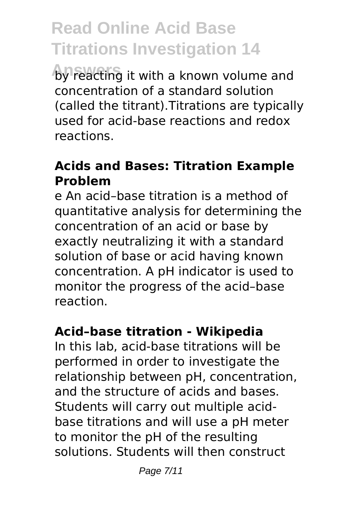by reacting it with a known volume and concentration of a standard solution (called the titrant).Titrations are typically used for acid-base reactions and redox reactions.

#### **Acids and Bases: Titration Example Problem**

e An acid–base titration is a method of quantitative analysis for determining the concentration of an acid or base by exactly neutralizing it with a standard solution of base or acid having known concentration. A pH indicator is used to monitor the progress of the acid–base reaction.

### **Acid–base titration - Wikipedia**

In this lab, acid-base titrations will be performed in order to investigate the relationship between pH, concentration, and the structure of acids and bases. Students will carry out multiple acidbase titrations and will use a pH meter to monitor the pH of the resulting solutions. Students will then construct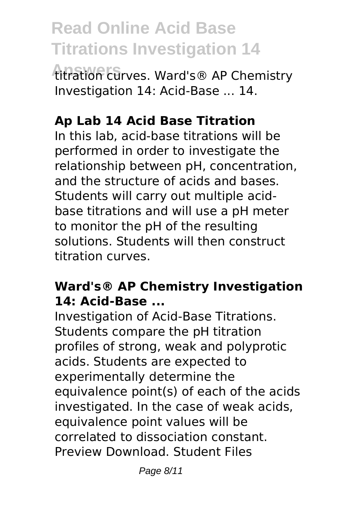**Answers** titration curves. Ward's® AP Chemistry Investigation 14: Acid-Base ... 14.

### **Ap Lab 14 Acid Base Titration**

In this lab, acid-base titrations will be performed in order to investigate the relationship between pH, concentration, and the structure of acids and bases. Students will carry out multiple acidbase titrations and will use a pH meter to monitor the pH of the resulting solutions. Students will then construct titration curves.

### **Ward's® AP Chemistry Investigation 14: Acid-Base ...**

Investigation of Acid-Base Titrations. Students compare the pH titration profiles of strong, weak and polyprotic acids. Students are expected to experimentally determine the equivalence point(s) of each of the acids investigated. In the case of weak acids, equivalence point values will be correlated to dissociation constant. Preview Download. Student Files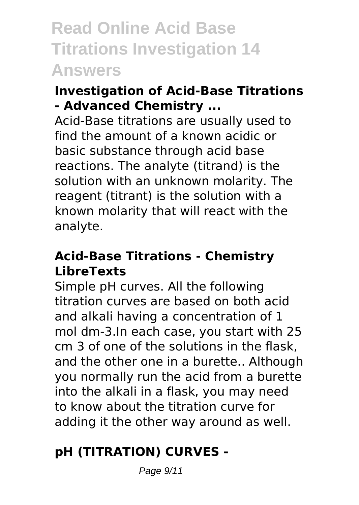**Read Online Acid Base Titrations Investigation 14 Answers**

### **Investigation of Acid-Base Titrations - Advanced Chemistry ...**

Acid-Base titrations are usually used to find the amount of a known acidic or basic substance through acid base reactions. The analyte (titrand) is the solution with an unknown molarity. The reagent (titrant) is the solution with a known molarity that will react with the analyte.

#### **Acid-Base Titrations - Chemistry LibreTexts**

Simple pH curves. All the following titration curves are based on both acid and alkali having a concentration of 1 mol dm-3.In each case, you start with 25 cm 3 of one of the solutions in the flask, and the other one in a burette.. Although you normally run the acid from a burette into the alkali in a flask, you may need to know about the titration curve for adding it the other way around as well.

## **pH (TITRATION) CURVES -**

Page 9/11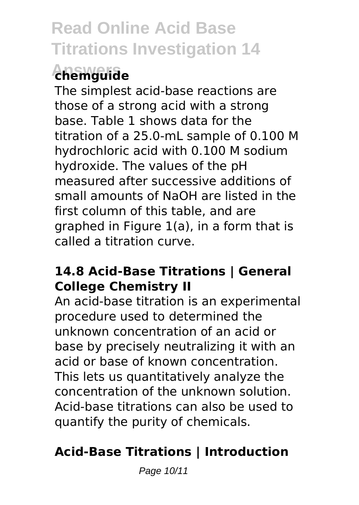## **Answers chemguide**

The simplest acid-base reactions are those of a strong acid with a strong base. Table 1 shows data for the titration of a 25.0-mL sample of 0.100 M hydrochloric acid with 0.100 M sodium hydroxide. The values of the pH measured after successive additions of small amounts of NaOH are listed in the first column of this table, and are graphed in Figure 1(a), in a form that is called a titration curve.

### **14.8 Acid-Base Titrations | General College Chemistry II**

An acid-base titration is an experimental procedure used to determined the unknown concentration of an acid or base by precisely neutralizing it with an acid or base of known concentration. This lets us quantitatively analyze the concentration of the unknown solution. Acid-base titrations can also be used to quantify the purity of chemicals.

## **Acid-Base Titrations | Introduction**

Page 10/11